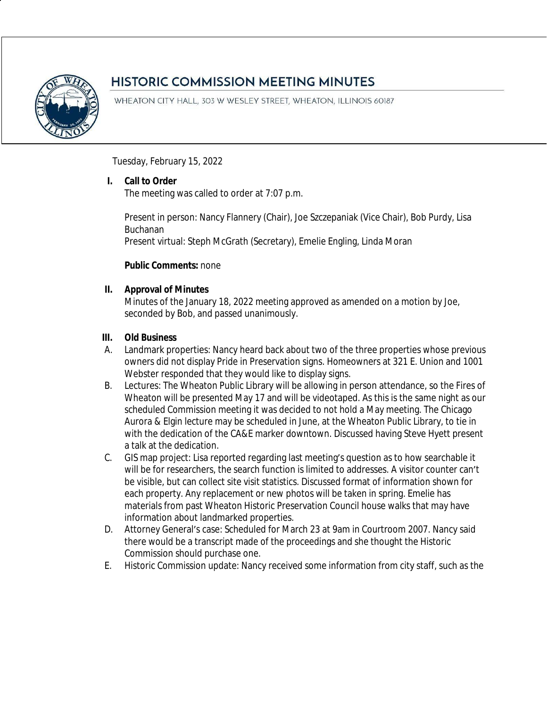

# **HISTORIC COMMISSION MEETING MINUTES**

WHEATON CITY HALL, 303 W WESLEY STREET, WHEATON, ILLINOIS 60187

Tuesday, February 15, 2022

# **I. Call to Order**

The meeting was called to order at 7:07 p.m.

Present in person: Nancy Flannery (Chair), Joe Szczepaniak (Vice Chair), Bob Purdy, Lisa Buchanan

Present virtual: Steph McGrath (Secretary), Emelie Engling, Linda Moran

# **Public Comments:** none

# **II. Approval of Minutes**

Minutes of the January 18, 2022 meeting approved as amended on a motion by Joe, seconded by Bob, and passed unanimously.

# **III. Old Business**

- A. Landmark properties: Nancy heard back about two of the three properties whose previous owners did not display Pride in Preservation signs. Homeowners at 321 E. Union and 1001 Webster responded that they would like to display signs.
- B. Lectures: The Wheaton Public Library will be allowing in person attendance, so the Fires of Wheaton will be presented May 17 and will be videotaped. As this is the same night as our scheduled Commission meeting it was decided to not hold a May meeting. The Chicago Aurora & Elgin lecture may be scheduled in June, at the Wheaton Public Library, to tie in with the dedication of the CA&E marker downtown. Discussed having Steve Hyett present a talk at the dedication.
- C. GIS map project: Lisa reported regarding last meeting's question as to how searchable it will be for researchers, the search function is limited to addresses. A visitor counter can't be visible, but can collect site visit statistics. Discussed format of information shown for each property. Any replacement or new photos will be taken in spring. Emelie has materials from past Wheaton Historic Preservation Council house walks that may have information about landmarked properties.
- D. Attorney General's case: Scheduled for March 23 at 9am in Courtroom 2007. Nancy said there would be a transcript made of the proceedings and she thought the Historic Commission should purchase one.
- E. Historic Commission update: Nancy received some information from city staff, such as the